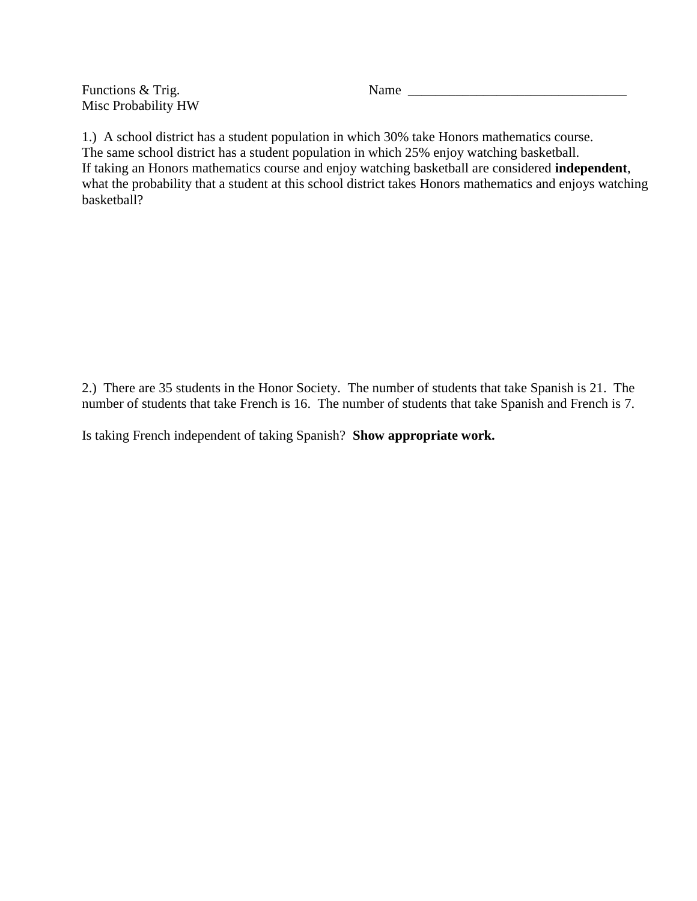Functions & Trig. Name \_\_\_\_\_\_\_\_\_\_\_\_\_\_\_\_\_\_\_\_\_\_\_\_\_\_\_\_\_\_\_\_ Misc Probability HW

1.) A school district has a student population in which 30% take Honors mathematics course. The same school district has a student population in which 25% enjoy watching basketball. If taking an Honors mathematics course and enjoy watching basketball are considered **independent**, what the probability that a student at this school district takes Honors mathematics and enjoys watching basketball?

2.) There are 35 students in the Honor Society. The number of students that take Spanish is 21. The number of students that take French is 16. The number of students that take Spanish and French is 7.

Is taking French independent of taking Spanish? **Show appropriate work.**